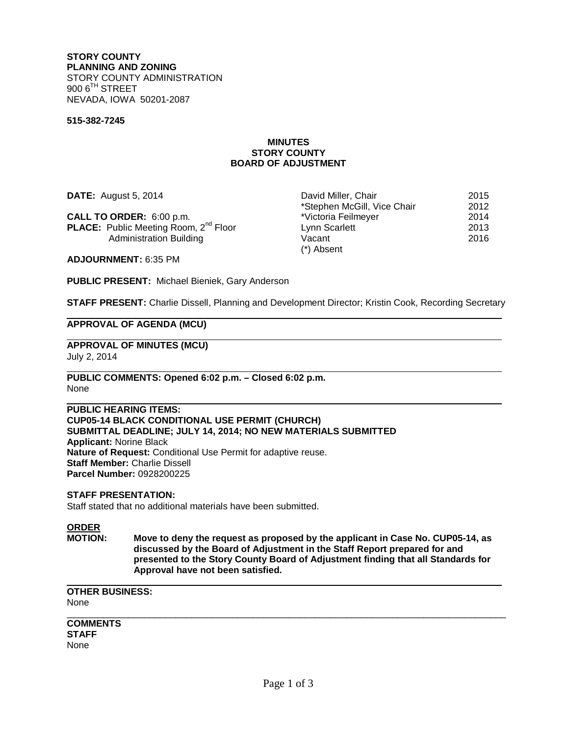## **STORY COUNTY PLANNING AND ZONING** STORY COUNTY ADMINISTRATION  $9006$ <sup>TH</sup> STREET NEVADA, IOWA 50201-2087

#### **515-382-7245**

## **MINUTES STORY COUNTY BOARD OF ADJUSTMENT**

**CALL TO ORDER:** 6:00 p.m.<br> **PLACE:** Public Meeting Room, 2<sup>nd</sup> Floor **by Example 2014** Lynn Scarlett

**DATE:** August 5, 2014 **David Miller, Chair** 2015 \*Stephen McGill, Vice Chair 2012 **PLACE:** Public Meeting Room, 2<sup>nd</sup> Floor Lynn Scarlett 2013 Administration Building **Contract Contract Contract Contract Contract Contract Contract Contract Contract Contract Contract Contract Contract Contract Contract Contract Contract Contract Contract Contract Contract Contract** (\*) Absent

**ADJOURNMENT:** 6:35 PM

**PUBLIC PRESENT:** Michael Bieniek, Gary Anderson

**STAFF PRESENT:** Charlie Dissell, Planning and Development Director; Kristin Cook, Recording Secretary

## **APPROVAL OF AGENDA (MCU)**

**APPROVAL OF MINUTES (MCU)**  July 2, 2014

**PUBLIC COMMENTS: Opened 6:02 p.m. – Closed 6:02 p.m.** None

**PUBLIC HEARING ITEMS: CUP05-14 BLACK CONDITIONAL USE PERMIT (CHURCH) SUBMITTAL DEADLINE; JULY 14, 2014; NO NEW MATERIALS SUBMITTED Applicant:** Norine Black **Nature of Request:** Conditional Use Permit for adaptive reuse. **Staff Member:** Charlie Dissell **Parcel Number:** 0928200225

## **STAFF PRESENTATION:**

Staff stated that no additional materials have been submitted.

# **ORDER**

**MOTION:****Move to deny the request as proposed by the applicant in Case No. CUP05-14, as discussed by the Board of Adjustment in the Staff Report prepared for and presented to the Story County Board of Adjustment finding that all Standards for Approval have not been satisfied.**

**OTHER BUSINESS:** None

\_\_\_\_\_\_\_\_\_\_\_\_\_\_\_\_\_\_\_\_\_\_\_\_\_\_\_\_\_\_\_\_\_\_\_\_\_\_\_\_\_\_\_\_\_\_\_\_\_\_\_\_\_\_\_\_\_\_\_\_\_\_\_\_\_\_\_\_\_\_\_\_\_\_\_\_\_\_\_\_\_\_\_\_\_ **COMMENTS STAFF** None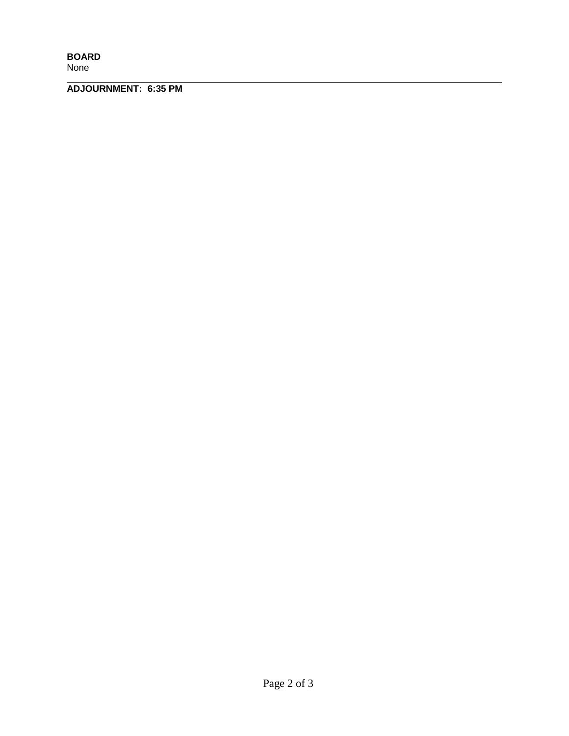**BOARD** None

**ADJOURNMENT: 6:35 PM**